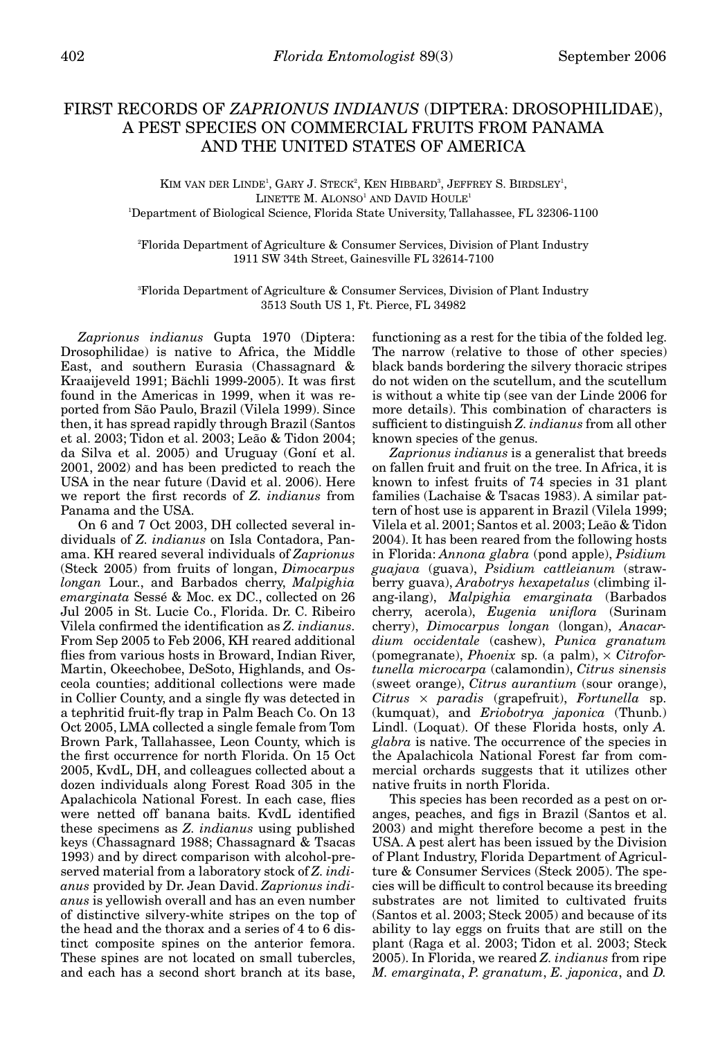## FIRST RECORDS OF *ZAPRIONUS INDIANUS* (DIPTERA: DROSOPHILIDAE), A PEST SPECIES ON COMMERCIAL FRUITS FROM PANAMA AND THE UNITED STATES OF AMERICA

KIM VAN DER LINDE<sup>1</sup>, GARY J. STECK<sup>2</sup>, KEN HIBBARD<sup>3</sup>, JEFFREY S. BIRDSLEY<sup>1</sup>,  $L$ INETTE M. ALONSO<sup>1</sup> AND DAVID HOULE<sup>1</sup> 1 Department of Biological Science, Florida State University, Tallahassee, FL 32306-1100

2 Florida Department of Agriculture & Consumer Services, Division of Plant Industry 1911 SW 34th Street, Gainesville FL 32614-7100

3 Florida Department of Agriculture & Consumer Services, Division of Plant Industry 3513 South US 1, Ft. Pierce, FL 34982

*Zaprionus indianus* Gupta 1970 (Diptera: Drosophilidae) is native to Africa, the Middle East, and southern Eurasia (Chassagnard & Kraaijeveld 1991; Bächli 1999-2005). It was first found in the Americas in 1999, when it was reported from São Paulo, Brazil (Vilela 1999). Since then, it has spread rapidly through Brazil (Santos et al. 2003; Tidon et al. 2003; Leão & Tidon 2004; da Silva et al. 2005) and Uruguay (Goní et al. 2001, 2002) and has been predicted to reach the USA in the near future (David et al. 2006). Here we report the first records of *Z. indianus* from Panama and the USA.

On 6 and 7 Oct 2003, DH collected several individuals of *Z. indianus* on Isla Contadora, Panama. KH reared several individuals of *Zaprionus* (Steck 2005) from fruits of longan, *Dimocarpus longan* Lour., and Barbados cherry, *Malpighia emarginata* Sessé & Moc. ex DC., collected on 26 Jul 2005 in St. Lucie Co., Florida. Dr. C. Ribeiro Vilela confirmed the identification as *Z. indianus*. From Sep 2005 to Feb 2006, KH reared additional flies from various hosts in Broward, Indian River, Martin, Okeechobee, DeSoto, Highlands, and Osceola counties; additional collections were made in Collier County, and a single fly was detected in a tephritid fruit-fly trap in Palm Beach Co. On 13 Oct 2005, LMA collected a single female from Tom Brown Park, Tallahassee, Leon County, which is the first occurrence for north Florida. On 15 Oct 2005, KvdL, DH, and colleagues collected about a dozen individuals along Forest Road 305 in the Apalachicola National Forest. In each case, flies were netted off banana baits. KvdL identified these specimens as *Z. indianus* using published keys (Chassagnard 1988; Chassagnard & Tsacas 1993) and by direct comparison with alcohol-preserved material from a laboratory stock of *Z. indianus* provided by Dr. Jean David. *Zaprionus indianus* is yellowish overall and has an even number of distinctive silvery-white stripes on the top of the head and the thorax and a series of 4 to 6 distinct composite spines on the anterior femora. These spines are not located on small tubercles, and each has a second short branch at its base,

functioning as a rest for the tibia of the folded leg. The narrow (relative to those of other species) black bands bordering the silvery thoracic stripes do not widen on the scutellum, and the scutellum is without a white tip (see van der Linde 2006 for more details). This combination of characters is sufficient to distinguish *Z. indianus* from all other known species of the genus.

*Zaprionus indianus* is a generalist that breeds on fallen fruit and fruit on the tree. In Africa, it is known to infest fruits of 74 species in 31 plant families (Lachaise & Tsacas 1983). A similar pattern of host use is apparent in Brazil (Vilela 1999; Vilela et al. 2001; Santos et al. 2003; Leão & Tidon 2004). It has been reared from the following hosts in Florida: *Annona glabra* (pond apple), *Psidium guajava* (guava), *Psidium cattleianum* (strawberry guava), *Arabotrys hexapetalus* (climbing ilang-ilang), *Malpighia emarginata* (Barbados cherry, acerola), *Eugenia uniflora* (Surinam cherry), *Dimocarpus longan* (longan), *Anacardium occidentale* (cashew), *Punica granatum* (pomegranate), *Phoenix* sp. (a palm), × *Citrofortunella microcarpa* (calamondin), *Citrus sinensis* (sweet orange), *Citrus aurantium* (sour orange), *Citrus* × *paradis* (grapefruit), *Fortunella* sp. (kumquat), and *Eriobotrya japonica* (Thunb.) Lindl. (Loquat). Of these Florida hosts, only *A. glabra* is native. The occurrence of the species in the Apalachicola National Forest far from commercial orchards suggests that it utilizes other native fruits in north Florida.

This species has been recorded as a pest on oranges, peaches, and figs in Brazil (Santos et al. 2003) and might therefore become a pest in the USA. A pest alert has been issued by the Division of Plant Industry, Florida Department of Agriculture & Consumer Services (Steck 2005). The species will be difficult to control because its breeding substrates are not limited to cultivated fruits (Santos et al. 2003; Steck 2005) and because of its ability to lay eggs on fruits that are still on the plant (Raga et al. 2003; Tidon et al. 2003; Steck 2005). In Florida, we reared *Z. indianus* from ripe *M. emarginata*, *P. granatum*, *E. japonica*, and *D.*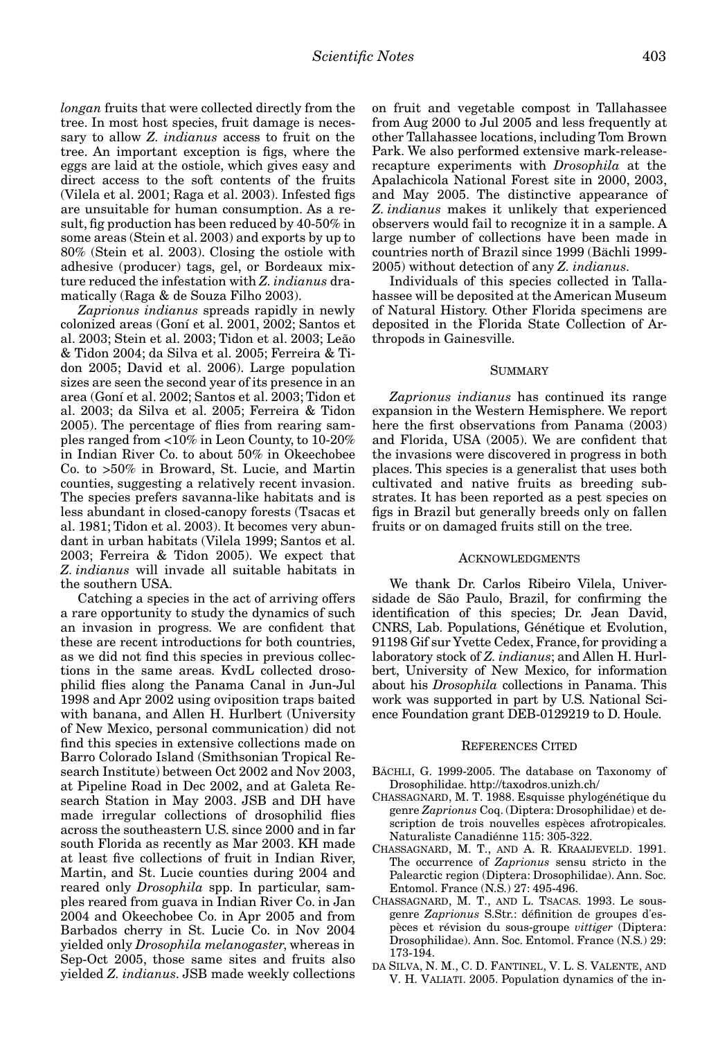*longan* fruits that were collected directly from the tree. In most host species, fruit damage is necessary to allow *Z. indianus* access to fruit on the tree. An important exception is figs, where the eggs are laid at the ostiole, which gives easy and direct access to the soft contents of the fruits (Vilela et al. 2001; Raga et al. 2003). Infested figs are unsuitable for human consumption. As a result, fig production has been reduced by 40-50% in some areas (Stein et al. 2003) and exports by up to 80% (Stein et al. 2003). Closing the ostiole with adhesive (producer) tags, gel, or Bordeaux mixture reduced the infestation with *Z. indianus* dramatically (Raga & de Souza Filho 2003).

*Zaprionus indianus* spreads rapidly in newly colonized areas (Goní et al. 2001, 2002; Santos et al. 2003; Stein et al. 2003; Tidon et al. 2003; Leão & Tidon 2004; da Silva et al. 2005; Ferreira & Tidon 2005; David et al. 2006). Large population sizes are seen the second year of its presence in an area (Goní et al. 2002; Santos et al. 2003; Tidon et al. 2003; da Silva et al. 2005; Ferreira & Tidon 2005). The percentage of flies from rearing samples ranged from <10% in Leon County, to 10-20% in Indian River Co. to about 50% in Okeechobee Co. to >50% in Broward, St. Lucie, and Martin counties, suggesting a relatively recent invasion. The species prefers savanna-like habitats and is less abundant in closed-canopy forests (Tsacas et al. 1981; Tidon et al. 2003). It becomes very abundant in urban habitats (Vilela 1999; Santos et al. 2003; Ferreira & Tidon 2005). We expect that *Z. indianus* will invade all suitable habitats in the southern USA.

Catching a species in the act of arriving offers a rare opportunity to study the dynamics of such an invasion in progress. We are confident that these are recent introductions for both countries, as we did not find this species in previous collections in the same areas. KvdL collected drosophilid flies along the Panama Canal in Jun-Jul 1998 and Apr 2002 using oviposition traps baited with banana, and Allen H. Hurlbert (University of New Mexico, personal communication) did not find this species in extensive collections made on Barro Colorado Island (Smithsonian Tropical Research Institute) between Oct 2002 and Nov 2003, at Pipeline Road in Dec 2002, and at Galeta Research Station in May 2003. JSB and DH have made irregular collections of drosophilid flies across the southeastern U.S. since 2000 and in far south Florida as recently as Mar 2003. KH made at least five collections of fruit in Indian River, Martin, and St. Lucie counties during 2004 and reared only *Drosophila* spp. In particular, samples reared from guava in Indian River Co. in Jan 2004 and Okeechobee Co. in Apr 2005 and from Barbados cherry in St. Lucie Co. in Nov 2004 yielded only *Drosophila melanogaster*, whereas in Sep-Oct 2005, those same sites and fruits also yielded *Z. indianus*. JSB made weekly collections

on fruit and vegetable compost in Tallahassee from Aug 2000 to Jul 2005 and less frequently at other Tallahassee locations, including Tom Brown Park. We also performed extensive mark-releaserecapture experiments with *Drosophila* at the Apalachicola National Forest site in 2000, 2003, and May 2005. The distinctive appearance of *Z. indianus* makes it unlikely that experienced observers would fail to recognize it in a sample. A large number of collections have been made in countries north of Brazil since 1999 (Bächli 1999- 2005) without detection of any *Z. indianus*.

Individuals of this species collected in Tallahassee will be deposited at the American Museum of Natural History. Other Florida specimens are deposited in the Florida State Collection of Arthropods in Gainesville.

## SUMMARY

*Zaprionus indianus* has continued its range expansion in the Western Hemisphere. We report here the first observations from Panama (2003) and Florida, USA (2005). We are confident that the invasions were discovered in progress in both places. This species is a generalist that uses both cultivated and native fruits as breeding substrates. It has been reported as a pest species on figs in Brazil but generally breeds only on fallen fruits or on damaged fruits still on the tree.

## ACKNOWLEDGMENTS

We thank Dr. Carlos Ribeiro Vilela, Universidade de São Paulo, Brazil, for confirming the identification of this species; Dr. Jean David, CNRS, Lab. Populations, Génétique et Evolution, 91198 Gif sur Yvette Cedex, France, for providing a laboratory stock of *Z. indianus*; and Allen H. Hurlbert, University of New Mexico, for information about his *Drosophila* collections in Panama. This work was supported in part by U.S. National Science Foundation grant DEB-0129219 to D. Houle.

## REFERENCES CITED

- BÄCHLI, G. 1999-2005. The database on Taxonomy of Drosophilidae. http://taxodros.unizh.ch/
- CHASSAGNARD, M. T. 1988. Esquisse phylogénétique du genre *Zaprionus* Coq. (Diptera: Drosophilidae) et description de trois nouvelles espèces afrotropicales. Naturaliste Canadiénne 115: 305-322.
- CHASSAGNARD, M. T., AND A. R. KRAAIJEVELD. 1991. The occurrence of *Zaprionus* sensu stricto in the Palearctic region (Diptera: Drosophilidae). Ann. Soc. Entomol. France (N.S.) 27: 495-496.
- CHASSAGNARD, M. T., AND L. TSACAS. 1993. Le sousgenre *Zaprionus* S.Str.: définition de groupes d'espèces et révision du sous-groupe *vittiger* (Diptera: Drosophilidae). Ann. Soc. Entomol. France (N.S.) 29: 173-194.
- DA SILVA, N. M., C. D. FANTINEL, V. L. S. VALENTE, AND V. H. VALIATI. 2005. Population dynamics of the in-